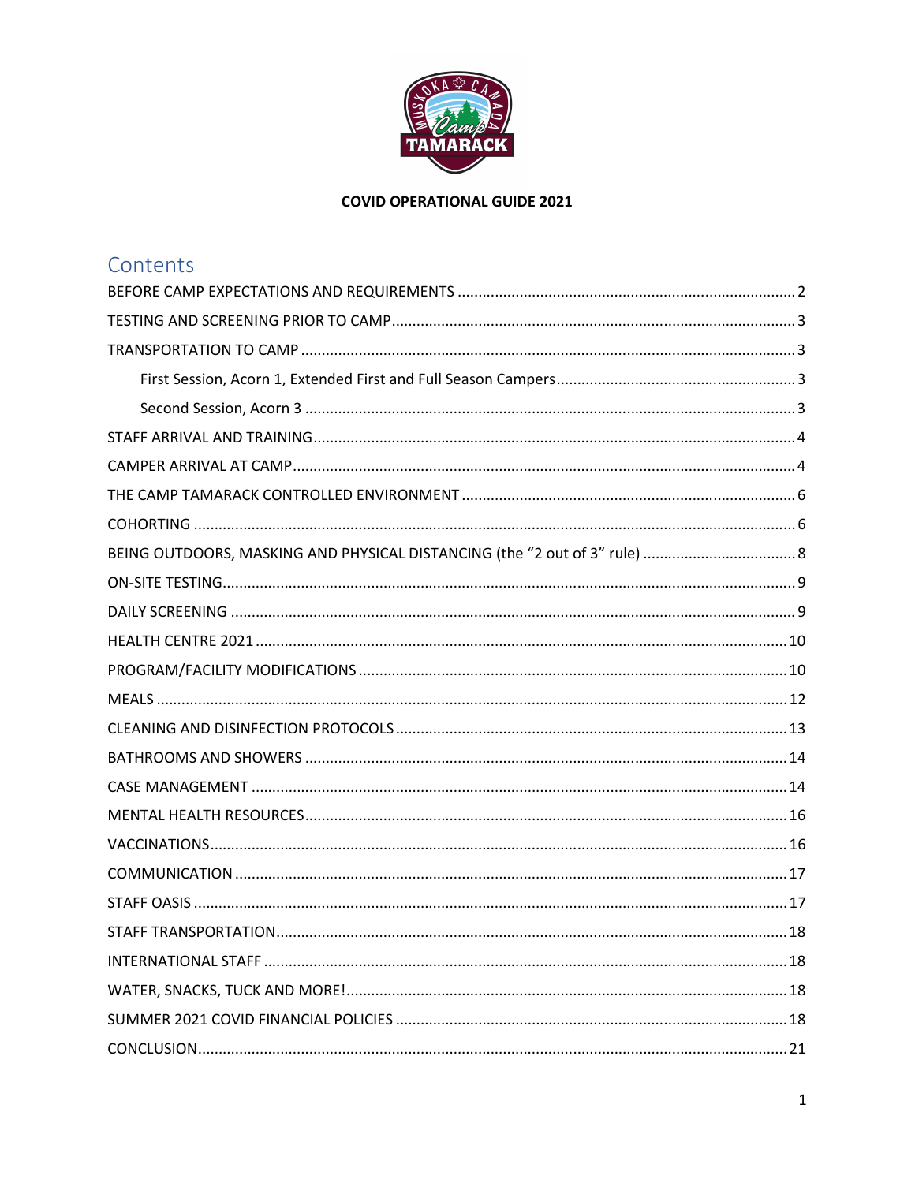

| Contents |  |
|----------|--|
|          |  |
|          |  |
|          |  |
|          |  |
|          |  |
|          |  |
|          |  |
|          |  |
|          |  |
|          |  |
|          |  |
|          |  |
|          |  |
|          |  |
|          |  |
|          |  |
|          |  |
|          |  |
|          |  |
|          |  |
|          |  |
|          |  |
|          |  |
|          |  |
|          |  |
|          |  |
|          |  |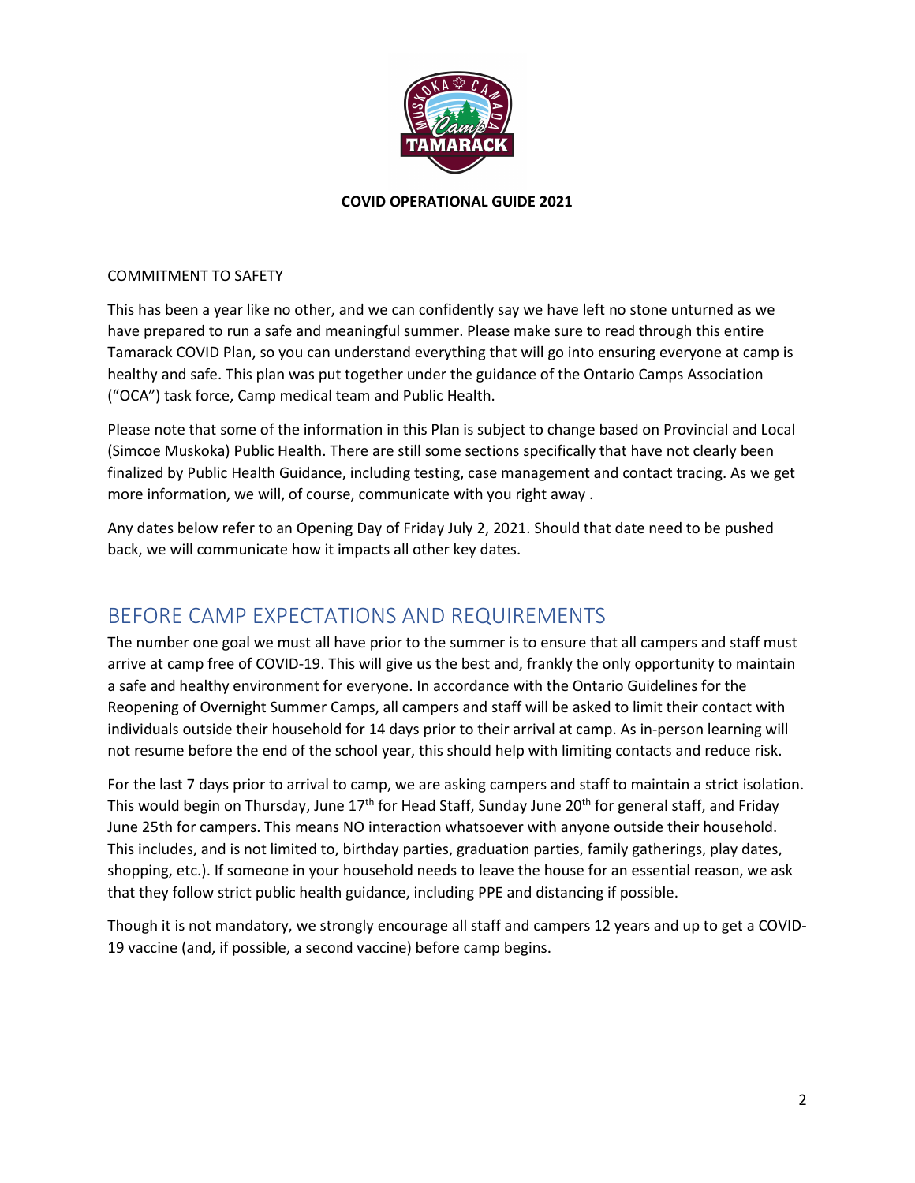

#### COMMITMENT TO SAFETY

This has been a year like no other, and we can confidently say we have left no stone unturned as we have prepared to run a safe and meaningful summer. Please make sure to read through this entire Tamarack COVID Plan, so you can understand everything that will go into ensuring everyone at camp is healthy and safe. This plan was put together under the guidance of the Ontario Camps Association ("OCA") task force, Camp medical team and Public Health.

Please note that some of the information in this Plan is subject to change based on Provincial and Local (Simcoe Muskoka) Public Health. There are still some sections specifically that have not clearly been finalized by Public Health Guidance, including testing, case management and contact tracing. As we get more information, we will, of course, communicate with you right away .

Any dates below refer to an Opening Day of Friday July 2, 2021. Should that date need to be pushed back, we will communicate how it impacts all other key dates.

# BEFORE CAMP EXPECTATIONS AND REQUIREMENTS

The number one goal we must all have prior to the summer is to ensure that all campers and staff must arrive at camp free of COVID-19. This will give us the best and, frankly the only opportunity to maintain a safe and healthy environment for everyone. In accordance with the Ontario Guidelines for the Reopening of Overnight Summer Camps, all campers and staff will be asked to limit their contact with individuals outside their household for 14 days prior to their arrival at camp. As in-person learning will not resume before the end of the school year, this should help with limiting contacts and reduce risk.

For the last 7 days prior to arrival to camp, we are asking campers and staff to maintain a strict isolation. This would begin on Thursday, June 17<sup>th</sup> for Head Staff, Sunday June 20<sup>th</sup> for general staff, and Friday June 25th for campers. This means NO interaction whatsoever with anyone outside their household. This includes, and is not limited to, birthday parties, graduation parties, family gatherings, play dates, shopping, etc.). If someone in your household needs to leave the house for an essential reason, we ask that they follow strict public health guidance, including PPE and distancing if possible.

Though it is not mandatory, we strongly encourage all staff and campers 12 years and up to get a COVID-19 vaccine (and, if possible, a second vaccine) before camp begins.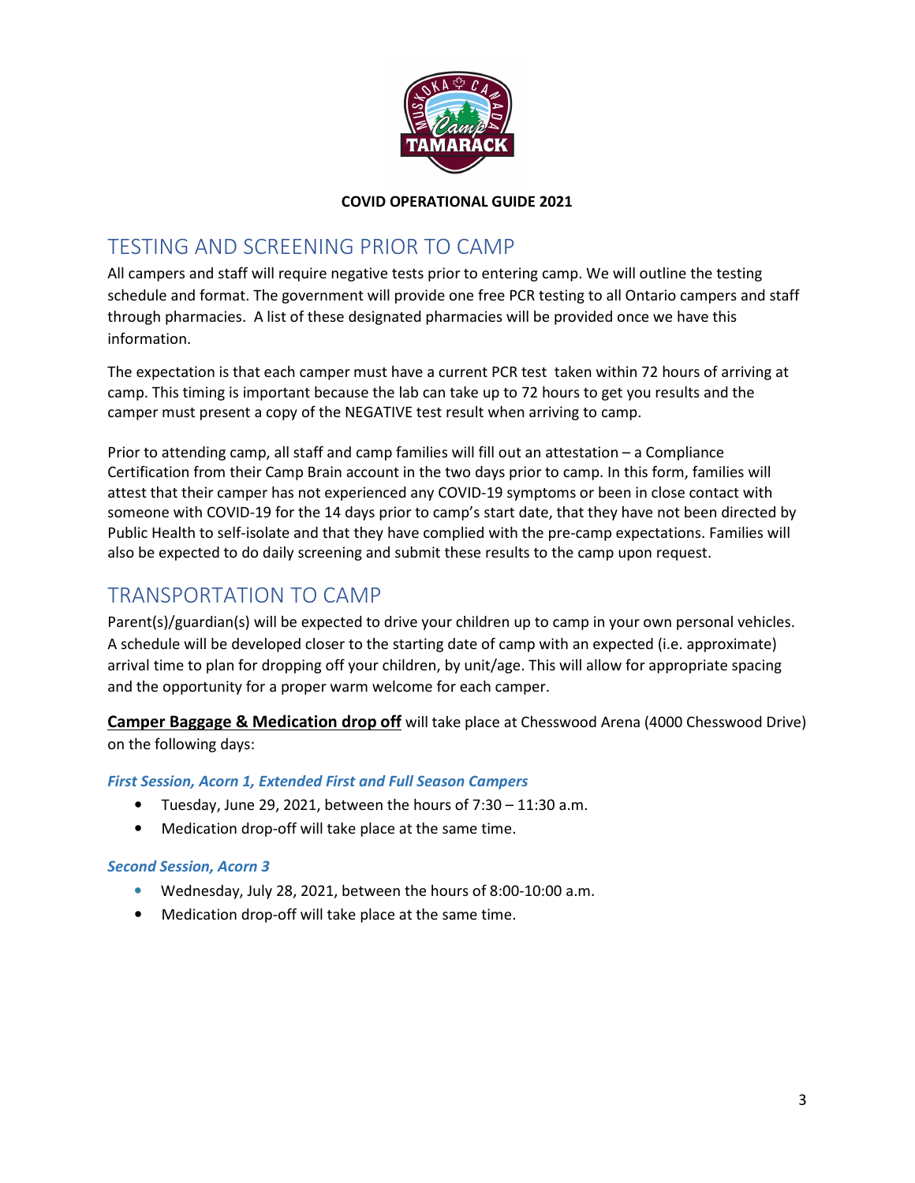

# TESTING AND SCREENING PRIOR TO CAMP

All campers and staff will require negative tests prior to entering camp. We will outline the testing schedule and format. The government will provide one free PCR testing to all Ontario campers and staff through pharmacies. A list of these designated pharmacies will be provided once we have this information.

The expectation is that each camper must have a current PCR test taken within 72 hours of arriving at camp. This timing is important because the lab can take up to 72 hours to get you results and the camper must present a copy of the NEGATIVE test result when arriving to camp.

Prior to attending camp, all staff and camp families will fill out an attestation – a Compliance Certification from their Camp Brain account in the two days prior to camp. In this form, families will attest that their camper has not experienced any COVID-19 symptoms or been in close contact with someone with COVID-19 for the 14 days prior to camp's start date, that they have not been directed by Public Health to self-isolate and that they have complied with the pre-camp expectations. Families will also be expected to do daily screening and submit these results to the camp upon request.

# TRANSPORTATION TO CAMP

Parent(s)/guardian(s) will be expected to drive your children up to camp in your own personal vehicles. A schedule will be developed closer to the starting date of camp with an expected (i.e. approximate) arrival time to plan for dropping off your children, by unit/age. This will allow for appropriate spacing and the opportunity for a proper warm welcome for each camper.

Camper Baggage & Medication drop off will take place at Chesswood Arena (4000 Chesswood Drive) on the following days:

# First Session, Acorn 1, Extended First and Full Season Campers

- Tuesday, June 29, 2021, between the hours of 7:30 11:30 a.m.
- Medication drop-off will take place at the same time.

#### Second Session, Acorn 3

- Wednesday, July 28, 2021, between the hours of 8:00-10:00 a.m.
- Medication drop-off will take place at the same time.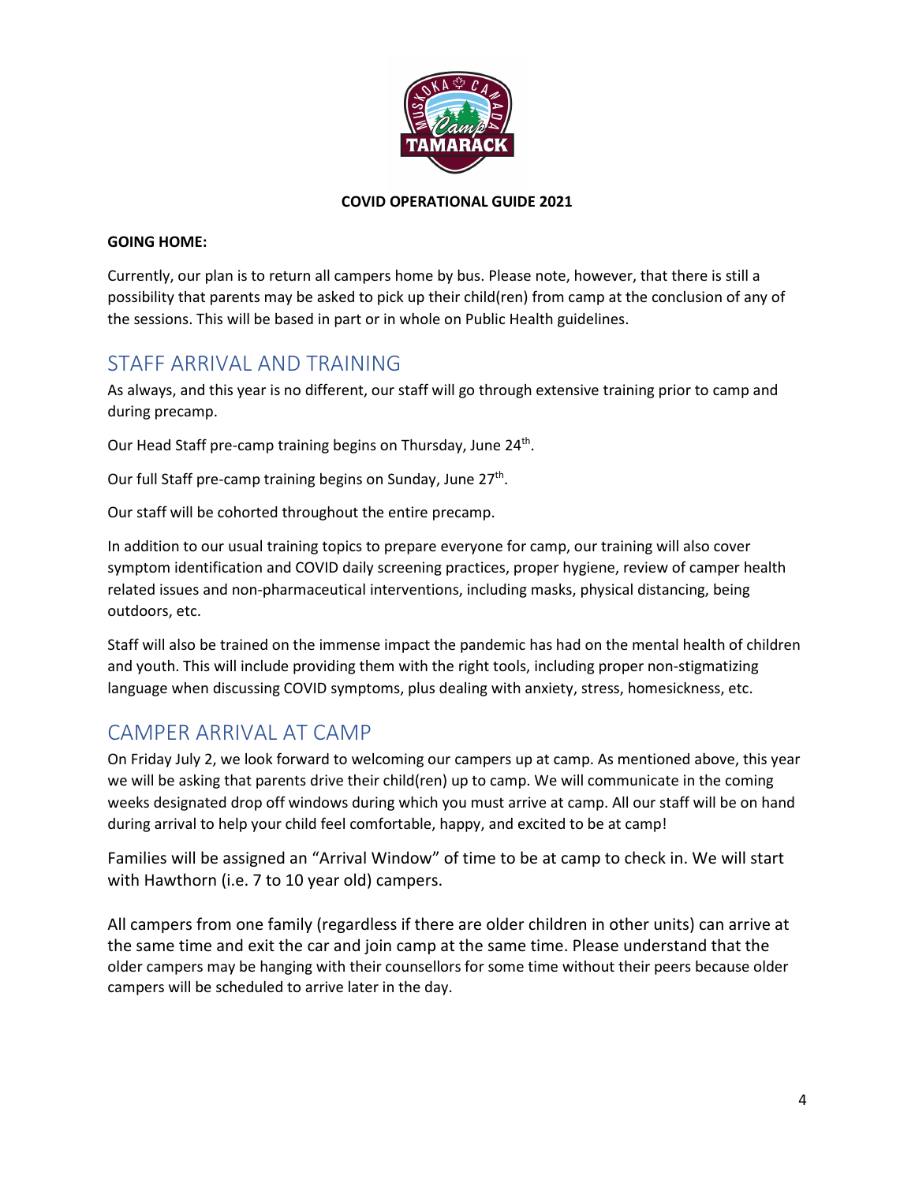

#### GOING HOME:

Currently, our plan is to return all campers home by bus. Please note, however, that there is still a possibility that parents may be asked to pick up their child(ren) from camp at the conclusion of any of the sessions. This will be based in part or in whole on Public Health guidelines.

# STAFF ARRIVAL AND TRAINING

As always, and this year is no different, our staff will go through extensive training prior to camp and during precamp.

Our Head Staff pre-camp training begins on Thursday, June 24<sup>th</sup>.

Our full Staff pre-camp training begins on Sunday, June 27<sup>th</sup>.

Our staff will be cohorted throughout the entire precamp.

In addition to our usual training topics to prepare everyone for camp, our training will also cover symptom identification and COVID daily screening practices, proper hygiene, review of camper health related issues and non-pharmaceutical interventions, including masks, physical distancing, being outdoors, etc.

Staff will also be trained on the immense impact the pandemic has had on the mental health of children and youth. This will include providing them with the right tools, including proper non-stigmatizing language when discussing COVID symptoms, plus dealing with anxiety, stress, homesickness, etc.

# CAMPER ARRIVAL AT CAMP

On Friday July 2, we look forward to welcoming our campers up at camp. As mentioned above, this year we will be asking that parents drive their child(ren) up to camp. We will communicate in the coming weeks designated drop off windows during which you must arrive at camp. All our staff will be on hand during arrival to help your child feel comfortable, happy, and excited to be at camp!

Families will be assigned an "Arrival Window" of time to be at camp to check in. We will start with Hawthorn (i.e. 7 to 10 year old) campers.

All campers from one family (regardless if there are older children in other units) can arrive at the same time and exit the car and join camp at the same time. Please understand that the older campers may be hanging with their counsellors for some time without their peers because older campers will be scheduled to arrive later in the day.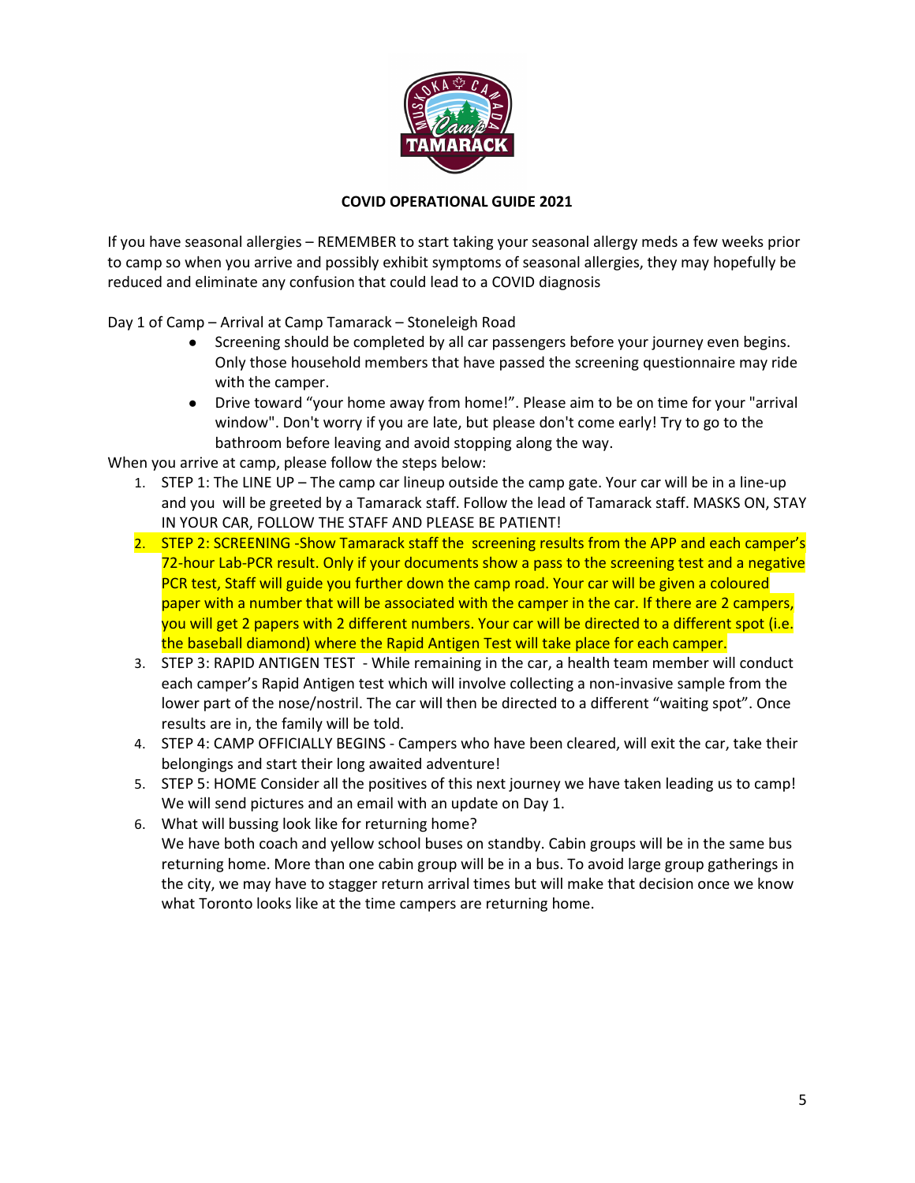

If you have seasonal allergies – REMEMBER to start taking your seasonal allergy meds a few weeks prior to camp so when you arrive and possibly exhibit symptoms of seasonal allergies, they may hopefully be reduced and eliminate any confusion that could lead to a COVID diagnosis

Day 1 of Camp – Arrival at Camp Tamarack – Stoneleigh Road

- Screening should be completed by all car passengers before your journey even begins. Only those household members that have passed the screening questionnaire may ride with the camper.
- Drive toward "your home away from home!". Please aim to be on time for your "arrival window". Don't worry if you are late, but please don't come early! Try to go to the bathroom before leaving and avoid stopping along the way.

When you arrive at camp, please follow the steps below:

- 1. STEP 1: The LINE UP The camp car lineup outside the camp gate. Your car will be in a line-up and you will be greeted by a Tamarack staff. Follow the lead of Tamarack staff. MASKS ON, STAY IN YOUR CAR, FOLLOW THE STAFF AND PLEASE BE PATIENT!
- 2. STEP 2: SCREENING -Show Tamarack staff the screening results from the APP and each camper's 72-hour Lab-PCR result. Only if your documents show a pass to the screening test and a negative PCR test, Staff will guide you further down the camp road. Your car will be given a coloured paper with a number that will be associated with the camper in the car. If there are 2 campers, you will get 2 papers with 2 different numbers. Your car will be directed to a different spot (i.e. the baseball diamond) where the Rapid Antigen Test will take place for each camper.
- 3. STEP 3: RAPID ANTIGEN TEST While remaining in the car, a health team member will conduct each camper's Rapid Antigen test which will involve collecting a non-invasive sample from the lower part of the nose/nostril. The car will then be directed to a different "waiting spot". Once results are in, the family will be told.
- 4. STEP 4: CAMP OFFICIALLY BEGINS Campers who have been cleared, will exit the car, take their belongings and start their long awaited adventure!
- 5. STEP 5: HOME Consider all the positives of this next journey we have taken leading us to camp! We will send pictures and an email with an update on Day 1.
- 6. What will bussing look like for returning home?

We have both coach and yellow school buses on standby. Cabin groups will be in the same bus returning home. More than one cabin group will be in a bus. To avoid large group gatherings in the city, we may have to stagger return arrival times but will make that decision once we know what Toronto looks like at the time campers are returning home.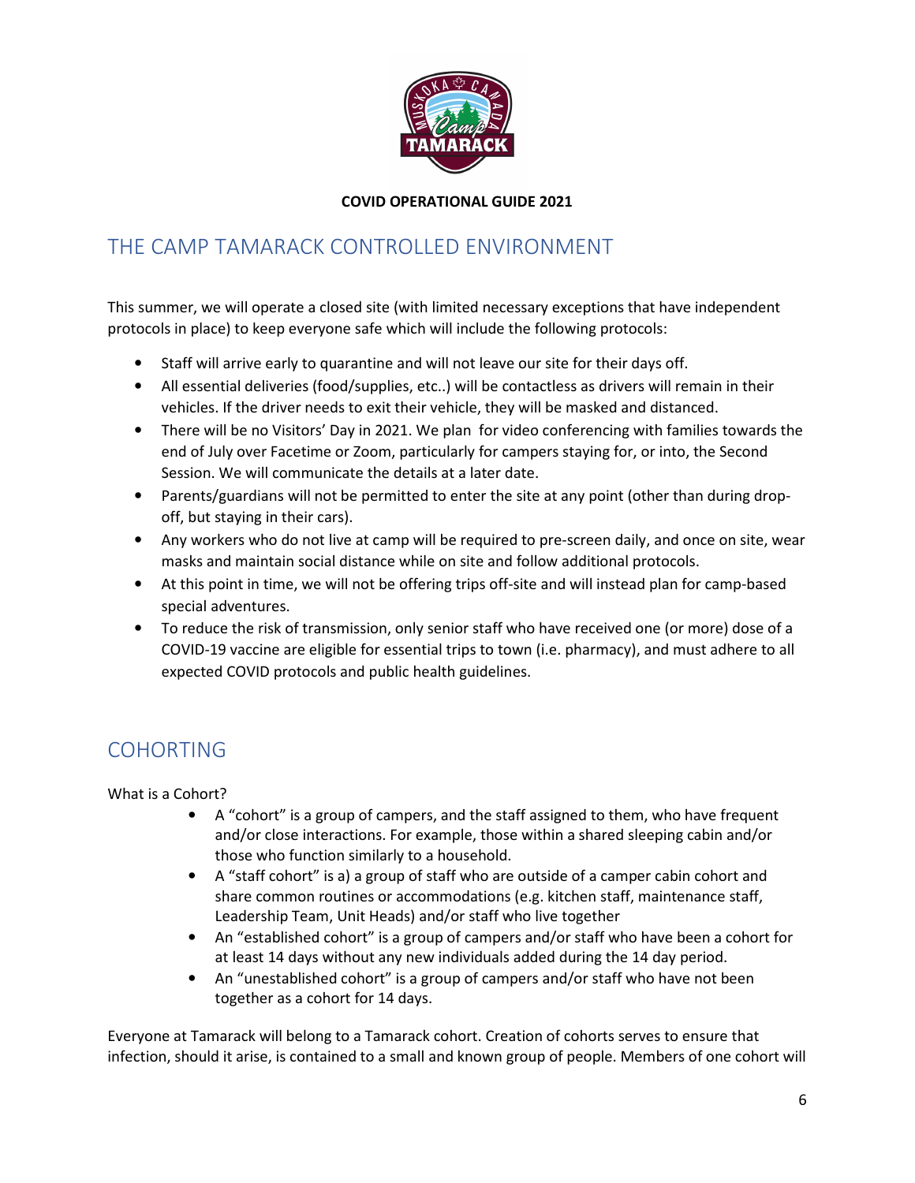

# THE CAMP TAMARACK CONTROLLED ENVIRONMENT

This summer, we will operate a closed site (with limited necessary exceptions that have independent protocols in place) to keep everyone safe which will include the following protocols:

- Staff will arrive early to quarantine and will not leave our site for their days off.
- All essential deliveries (food/supplies, etc..) will be contactless as drivers will remain in their vehicles. If the driver needs to exit their vehicle, they will be masked and distanced.
- There will be no Visitors' Day in 2021. We plan for video conferencing with families towards the end of July over Facetime or Zoom, particularly for campers staying for, or into, the Second Session. We will communicate the details at a later date.
- Parents/guardians will not be permitted to enter the site at any point (other than during dropoff, but staying in their cars).
- Any workers who do not live at camp will be required to pre-screen daily, and once on site, wear masks and maintain social distance while on site and follow additional protocols.
- At this point in time, we will not be offering trips off-site and will instead plan for camp-based special adventures.
- To reduce the risk of transmission, only senior staff who have received one (or more) dose of a COVID-19 vaccine are eligible for essential trips to town (i.e. pharmacy), and must adhere to all expected COVID protocols and public health guidelines.

# **COHORTING**

What is a Cohort?

- A "cohort" is a group of campers, and the staff assigned to them, who have frequent and/or close interactions. For example, those within a shared sleeping cabin and/or those who function similarly to a household.
- A "staff cohort" is a) a group of staff who are outside of a camper cabin cohort and share common routines or accommodations (e.g. kitchen staff, maintenance staff, Leadership Team, Unit Heads) and/or staff who live together
- An "established cohort" is a group of campers and/or staff who have been a cohort for at least 14 days without any new individuals added during the 14 day period.
- An "unestablished cohort" is a group of campers and/or staff who have not been together as a cohort for 14 days.

Everyone at Tamarack will belong to a Tamarack cohort. Creation of cohorts serves to ensure that infection, should it arise, is contained to a small and known group of people. Members of one cohort will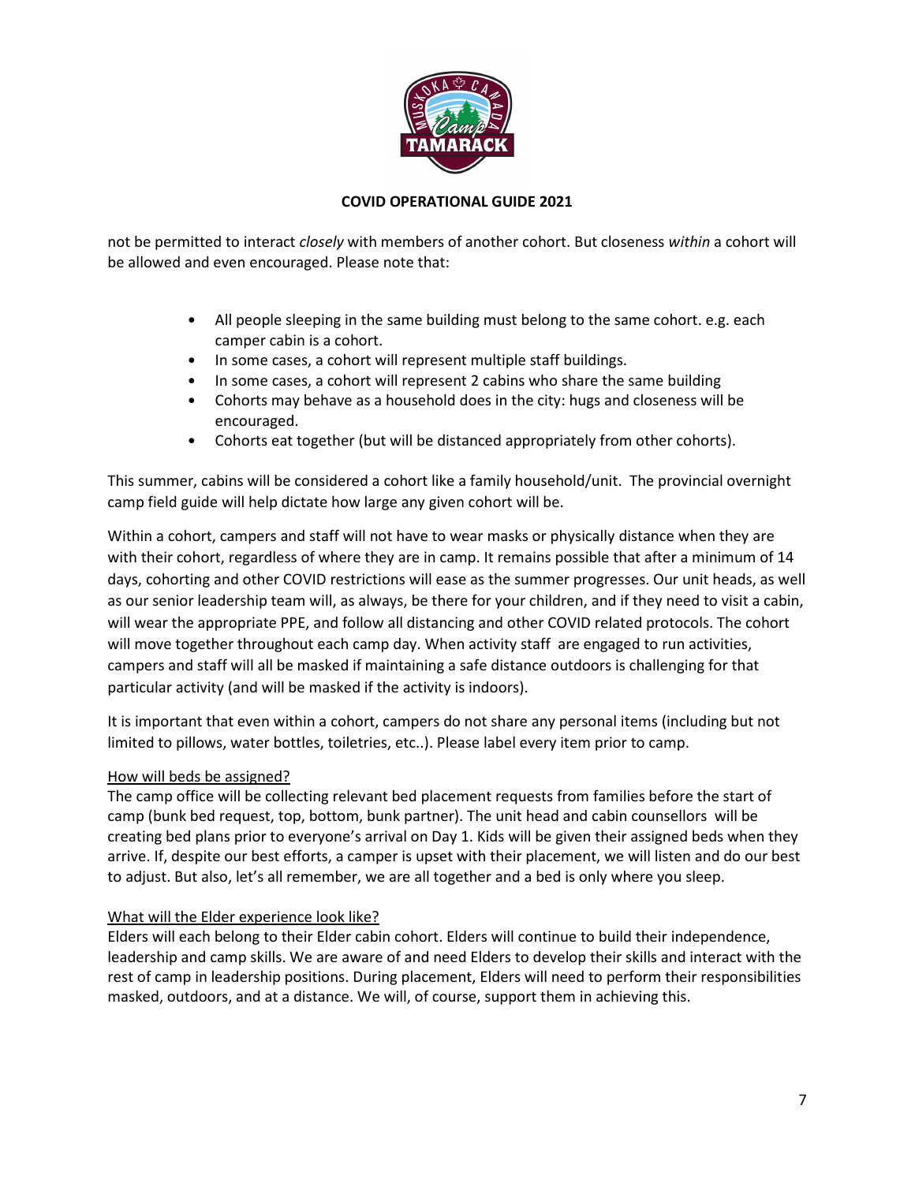

not be permitted to interact closely with members of another cohort. But closeness within a cohort will be allowed and even encouraged. Please note that:

- All people sleeping in the same building must belong to the same cohort. e.g. each camper cabin is a cohort.
- In some cases, a cohort will represent multiple staff buildings.
- In some cases, a cohort will represent 2 cabins who share the same building
- Cohorts may behave as a household does in the city: hugs and closeness will be encouraged.
- Cohorts eat together (but will be distanced appropriately from other cohorts).

This summer, cabins will be considered a cohort like a family household/unit. The provincial overnight camp field guide will help dictate how large any given cohort will be.

Within a cohort, campers and staff will not have to wear masks or physically distance when they are with their cohort, regardless of where they are in camp. It remains possible that after a minimum of 14 days, cohorting and other COVID restrictions will ease as the summer progresses. Our unit heads, as well as our senior leadership team will, as always, be there for your children, and if they need to visit a cabin, will wear the appropriate PPE, and follow all distancing and other COVID related protocols. The cohort will move together throughout each camp day. When activity staff are engaged to run activities, campers and staff will all be masked if maintaining a safe distance outdoors is challenging for that particular activity (and will be masked if the activity is indoors).

It is important that even within a cohort, campers do not share any personal items (including but not limited to pillows, water bottles, toiletries, etc..). Please label every item prior to camp.

#### How will beds be assigned?

The camp office will be collecting relevant bed placement requests from families before the start of camp (bunk bed request, top, bottom, bunk partner). The unit head and cabin counsellors will be creating bed plans prior to everyone's arrival on Day 1. Kids will be given their assigned beds when they arrive. If, despite our best efforts, a camper is upset with their placement, we will listen and do our best to adjust. But also, let's all remember, we are all together and a bed is only where you sleep.

#### What will the Elder experience look like?

Elders will each belong to their Elder cabin cohort. Elders will continue to build their independence, leadership and camp skills. We are aware of and need Elders to develop their skills and interact with the rest of camp in leadership positions. During placement, Elders will need to perform their responsibilities masked, outdoors, and at a distance. We will, of course, support them in achieving this.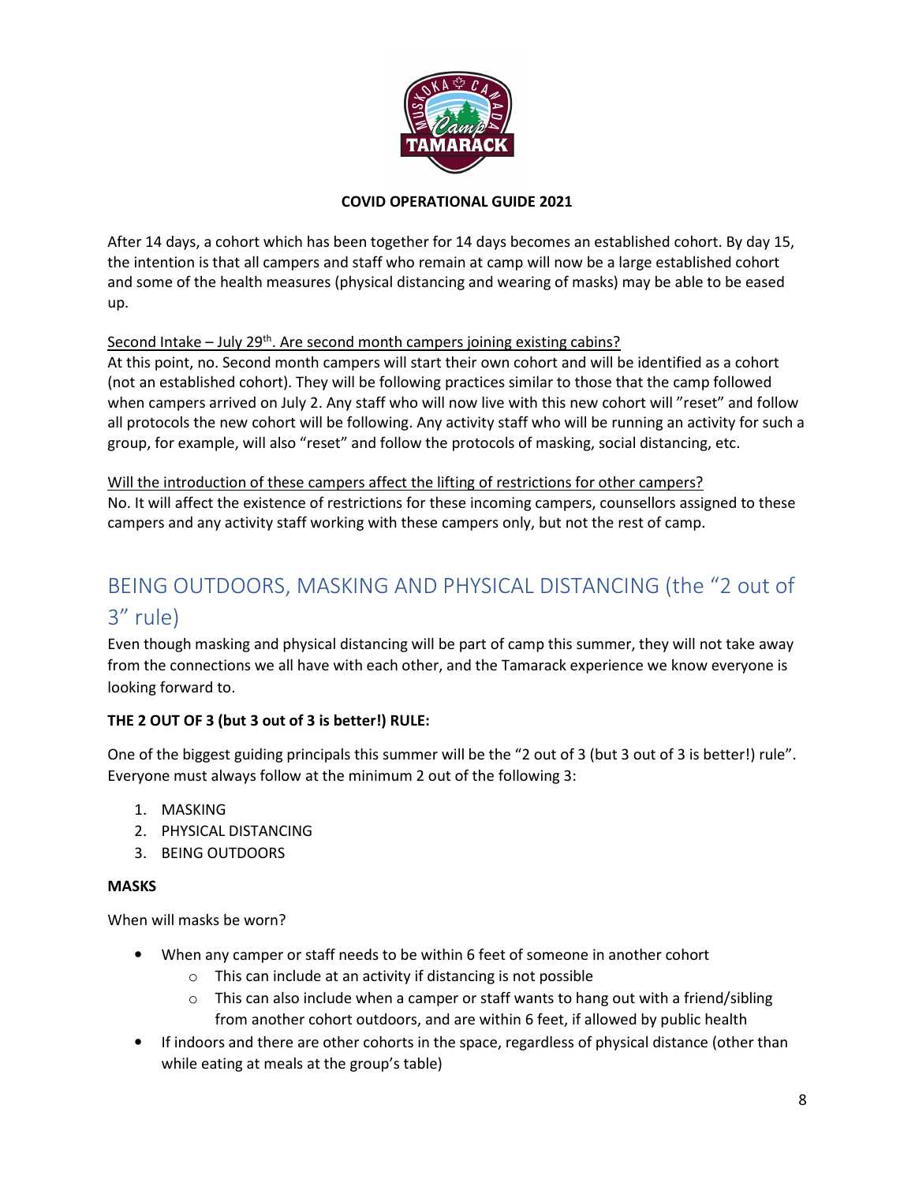

After 14 days, a cohort which has been together for 14 days becomes an established cohort. By day 15, the intention is that all campers and staff who remain at camp will now be a large established cohort and some of the health measures (physical distancing and wearing of masks) may be able to be eased up.

# Second Intake – July 29<sup>th</sup>. Are second month campers joining existing cabins?

At this point, no. Second month campers will start their own cohort and will be identified as a cohort (not an established cohort). They will be following practices similar to those that the camp followed when campers arrived on July 2. Any staff who will now live with this new cohort will "reset" and follow all protocols the new cohort will be following. Any activity staff who will be running an activity for such a group, for example, will also "reset" and follow the protocols of masking, social distancing, etc.

Will the introduction of these campers affect the lifting of restrictions for other campers? No. It will affect the existence of restrictions for these incoming campers, counsellors assigned to these campers and any activity staff working with these campers only, but not the rest of camp.

# BEING OUTDOORS, MASKING AND PHYSICAL DISTANCING (the "2 out of 3" rule)

Even though masking and physical distancing will be part of camp this summer, they will not take away from the connections we all have with each other, and the Tamarack experience we know everyone is looking forward to.

# THE 2 OUT OF 3 (but 3 out of 3 is better!) RULE:

One of the biggest guiding principals this summer will be the "2 out of 3 (but 3 out of 3 is better!) rule". Everyone must always follow at the minimum 2 out of the following 3:

- 1. MASKING
- 2. PHYSICAL DISTANCING
- 3. BEING OUTDOORS

# MASKS

When will masks be worn?

- When any camper or staff needs to be within 6 feet of someone in another cohort
	- o This can include at an activity if distancing is not possible
	- $\circ$  This can also include when a camper or staff wants to hang out with a friend/sibling from another cohort outdoors, and are within 6 feet, if allowed by public health
- If indoors and there are other cohorts in the space, regardless of physical distance (other than while eating at meals at the group's table)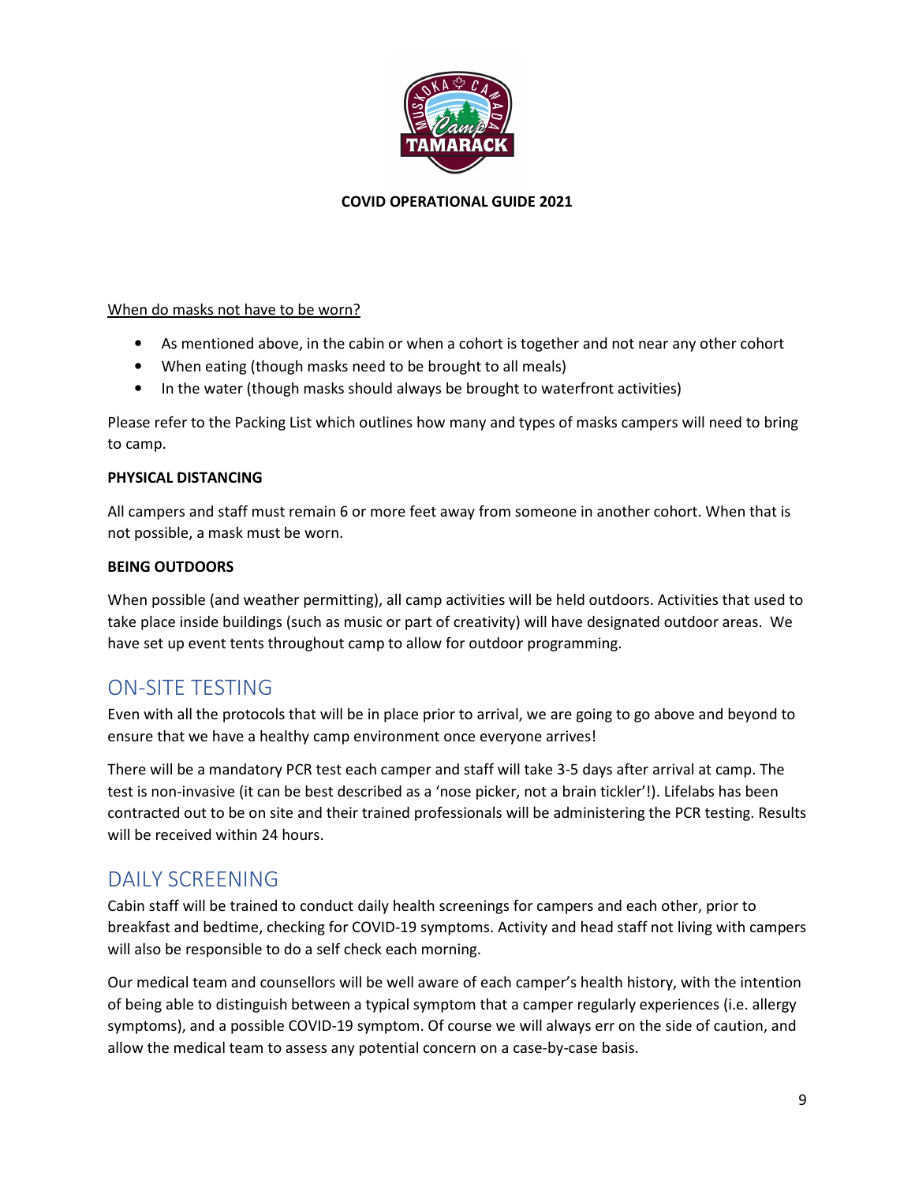

### When do masks not have to be worn?

- As mentioned above, in the cabin or when a cohort is together and not near any other cohort
- When eating (though masks need to be brought to all meals)
- In the water (though masks should always be brought to waterfront activities)

Please refer to the Packing List which outlines how many and types of masks campers will need to bring to camp.

#### PHYSICAL DISTANCING

All campers and staff must remain 6 or more feet away from someone in another cohort. When that is not possible, a mask must be worn.

### BEING OUTDOORS

When possible (and weather permitting), all camp activities will be held outdoors. Activities that used to take place inside buildings (such as music or part of creativity) will have designated outdoor areas. We have set up event tents throughout camp to allow for outdoor programming.

# ON-SITE TESTING

Even with all the protocols that will be in place prior to arrival, we are going to go above and beyond to ensure that we have a healthy camp environment once everyone arrives!

There will be a mandatory PCR test each camper and staff will take 3-5 days after arrival at camp. The test is non-invasive (it can be best described as a 'nose picker, not a brain tickler'!). Lifelabs has been contracted out to be on site and their trained professionals will be administering the PCR testing. Results will be received within 24 hours.

# DAILY SCREENING

Cabin staff will be trained to conduct daily health screenings for campers and each other, prior to breakfast and bedtime, checking for COVID-19 symptoms. Activity and head staff not living with campers will also be responsible to do a self check each morning.

Our medical team and counsellors will be well aware of each camper's health history, with the intention of being able to distinguish between a typical symptom that a camper regularly experiences (i.e. allergy symptoms), and a possible COVID-19 symptom. Of course we will always err on the side of caution, and allow the medical team to assess any potential concern on a case-by-case basis.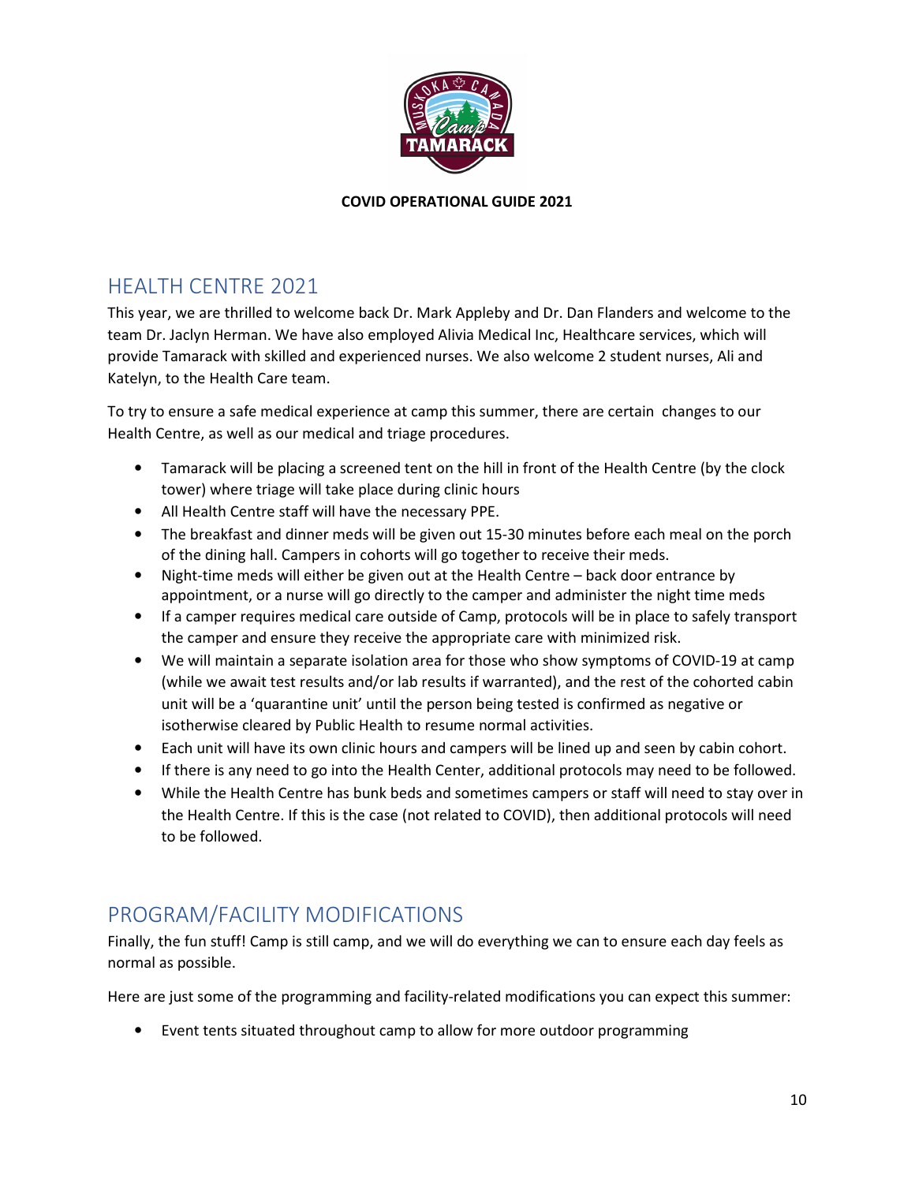

# HEALTH CENTRE 2021

This year, we are thrilled to welcome back Dr. Mark Appleby and Dr. Dan Flanders and welcome to the team Dr. Jaclyn Herman. We have also employed Alivia Medical Inc, Healthcare services, which will provide Tamarack with skilled and experienced nurses. We also welcome 2 student nurses, Ali and Katelyn, to the Health Care team.

To try to ensure a safe medical experience at camp this summer, there are certain changes to our Health Centre, as well as our medical and triage procedures.

- Tamarack will be placing a screened tent on the hill in front of the Health Centre (by the clock tower) where triage will take place during clinic hours
- All Health Centre staff will have the necessary PPE.
- The breakfast and dinner meds will be given out 15-30 minutes before each meal on the porch of the dining hall. Campers in cohorts will go together to receive their meds.
- Night-time meds will either be given out at the Health Centre back door entrance by appointment, or a nurse will go directly to the camper and administer the night time meds
- If a camper requires medical care outside of Camp, protocols will be in place to safely transport the camper and ensure they receive the appropriate care with minimized risk.
- We will maintain a separate isolation area for those who show symptoms of COVID-19 at camp (while we await test results and/or lab results if warranted), and the rest of the cohorted cabin unit will be a 'quarantine unit' until the person being tested is confirmed as negative or isotherwise cleared by Public Health to resume normal activities.
- Each unit will have its own clinic hours and campers will be lined up and seen by cabin cohort.
- If there is any need to go into the Health Center, additional protocols may need to be followed.
- While the Health Centre has bunk beds and sometimes campers or staff will need to stay over in the Health Centre. If this is the case (not related to COVID), then additional protocols will need to be followed.

# PROGRAM/FACILITY MODIFICATIONS

Finally, the fun stuff! Camp is still camp, and we will do everything we can to ensure each day feels as normal as possible.

Here are just some of the programming and facility-related modifications you can expect this summer:

• Event tents situated throughout camp to allow for more outdoor programming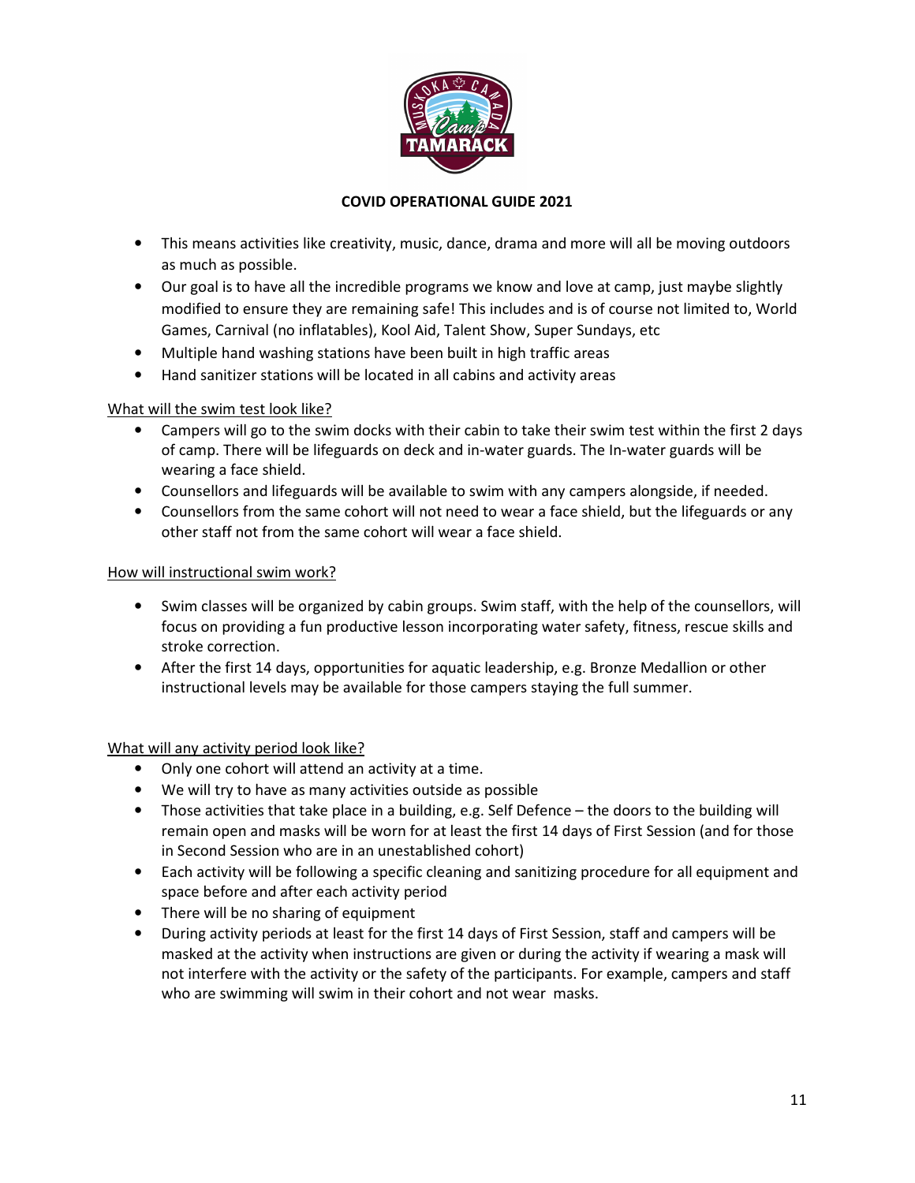

- This means activities like creativity, music, dance, drama and more will all be moving outdoors as much as possible.
- Our goal is to have all the incredible programs we know and love at camp, just maybe slightly modified to ensure they are remaining safe! This includes and is of course not limited to, World Games, Carnival (no inflatables), Kool Aid, Talent Show, Super Sundays, etc
- Multiple hand washing stations have been built in high traffic areas
- Hand sanitizer stations will be located in all cabins and activity areas

### What will the swim test look like?

- Campers will go to the swim docks with their cabin to take their swim test within the first 2 days of camp. There will be lifeguards on deck and in-water guards. The In-water guards will be wearing a face shield.
- Counsellors and lifeguards will be available to swim with any campers alongside, if needed.
- Counsellors from the same cohort will not need to wear a face shield, but the lifeguards or any other staff not from the same cohort will wear a face shield.

#### How will instructional swim work?

- Swim classes will be organized by cabin groups. Swim staff, with the help of the counsellors, will focus on providing a fun productive lesson incorporating water safety, fitness, rescue skills and stroke correction.
- After the first 14 days, opportunities for aquatic leadership, e.g. Bronze Medallion or other instructional levels may be available for those campers staying the full summer.

#### What will any activity period look like?

- Only one cohort will attend an activity at a time.
- We will try to have as many activities outside as possible
- Those activities that take place in a building, e.g. Self Defence the doors to the building will remain open and masks will be worn for at least the first 14 days of First Session (and for those in Second Session who are in an unestablished cohort)
- Each activity will be following a specific cleaning and sanitizing procedure for all equipment and space before and after each activity period
- There will be no sharing of equipment
- During activity periods at least for the first 14 days of First Session, staff and campers will be masked at the activity when instructions are given or during the activity if wearing a mask will not interfere with the activity or the safety of the participants. For example, campers and staff who are swimming will swim in their cohort and not wear masks.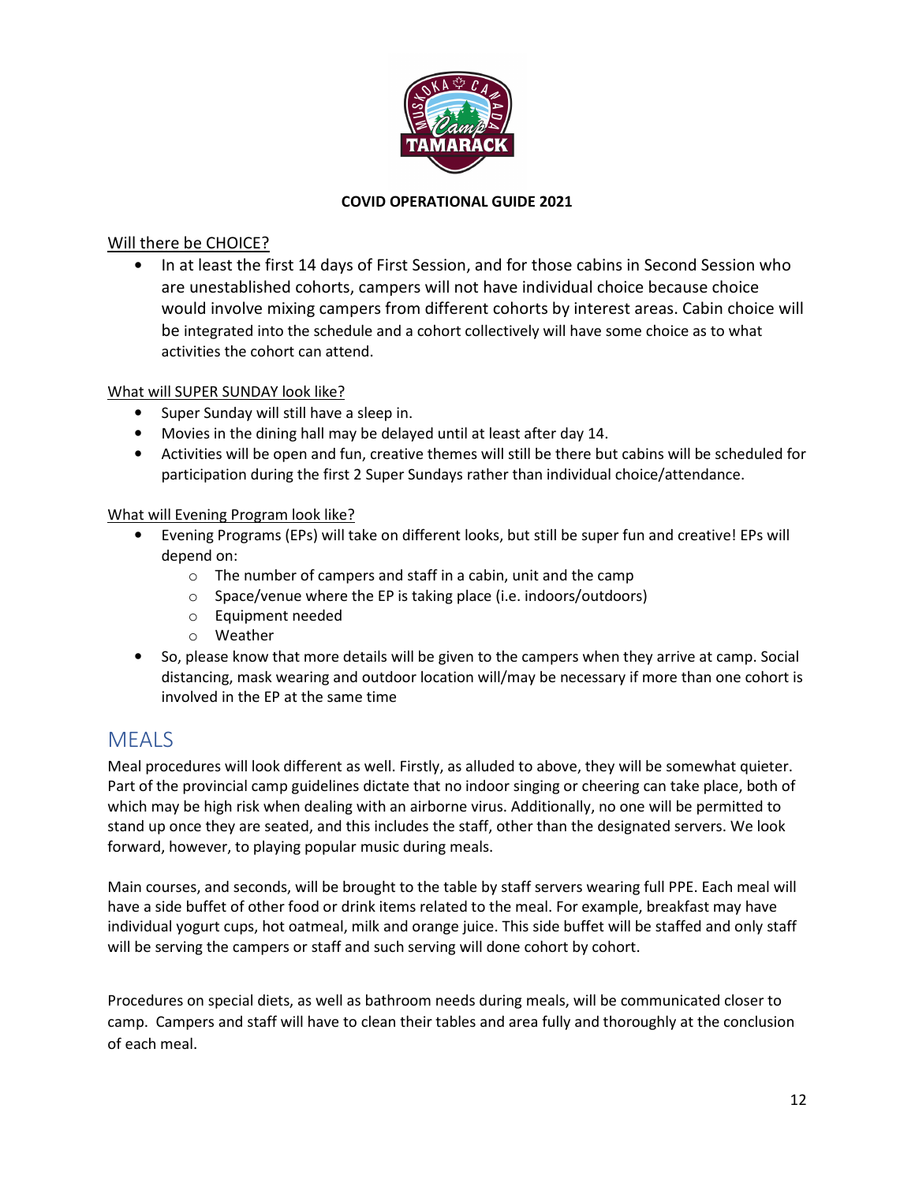

## Will there be CHOICE?

• In at least the first 14 days of First Session, and for those cabins in Second Session who are unestablished cohorts, campers will not have individual choice because choice would involve mixing campers from different cohorts by interest areas. Cabin choice will be integrated into the schedule and a cohort collectively will have some choice as to what activities the cohort can attend.

#### What will SUPER SUNDAY look like?

- Super Sunday will still have a sleep in.
- Movies in the dining hall may be delayed until at least after day 14.
- Activities will be open and fun, creative themes will still be there but cabins will be scheduled for participation during the first 2 Super Sundays rather than individual choice/attendance.

### What will Evening Program look like?

- Evening Programs (EPs) will take on different looks, but still be super fun and creative! EPs will depend on:
	- o The number of campers and staff in a cabin, unit and the camp
	- o Space/venue where the EP is taking place (i.e. indoors/outdoors)
	- o Equipment needed
	- o Weather
- So, please know that more details will be given to the campers when they arrive at camp. Social distancing, mask wearing and outdoor location will/may be necessary if more than one cohort is involved in the EP at the same time

# **MEALS**

Meal procedures will look different as well. Firstly, as alluded to above, they will be somewhat quieter. Part of the provincial camp guidelines dictate that no indoor singing or cheering can take place, both of which may be high risk when dealing with an airborne virus. Additionally, no one will be permitted to stand up once they are seated, and this includes the staff, other than the designated servers. We look forward, however, to playing popular music during meals.

Main courses, and seconds, will be brought to the table by staff servers wearing full PPE. Each meal will have a side buffet of other food or drink items related to the meal. For example, breakfast may have individual yogurt cups, hot oatmeal, milk and orange juice. This side buffet will be staffed and only staff will be serving the campers or staff and such serving will done cohort by cohort.

Procedures on special diets, as well as bathroom needs during meals, will be communicated closer to camp. Campers and staff will have to clean their tables and area fully and thoroughly at the conclusion of each meal.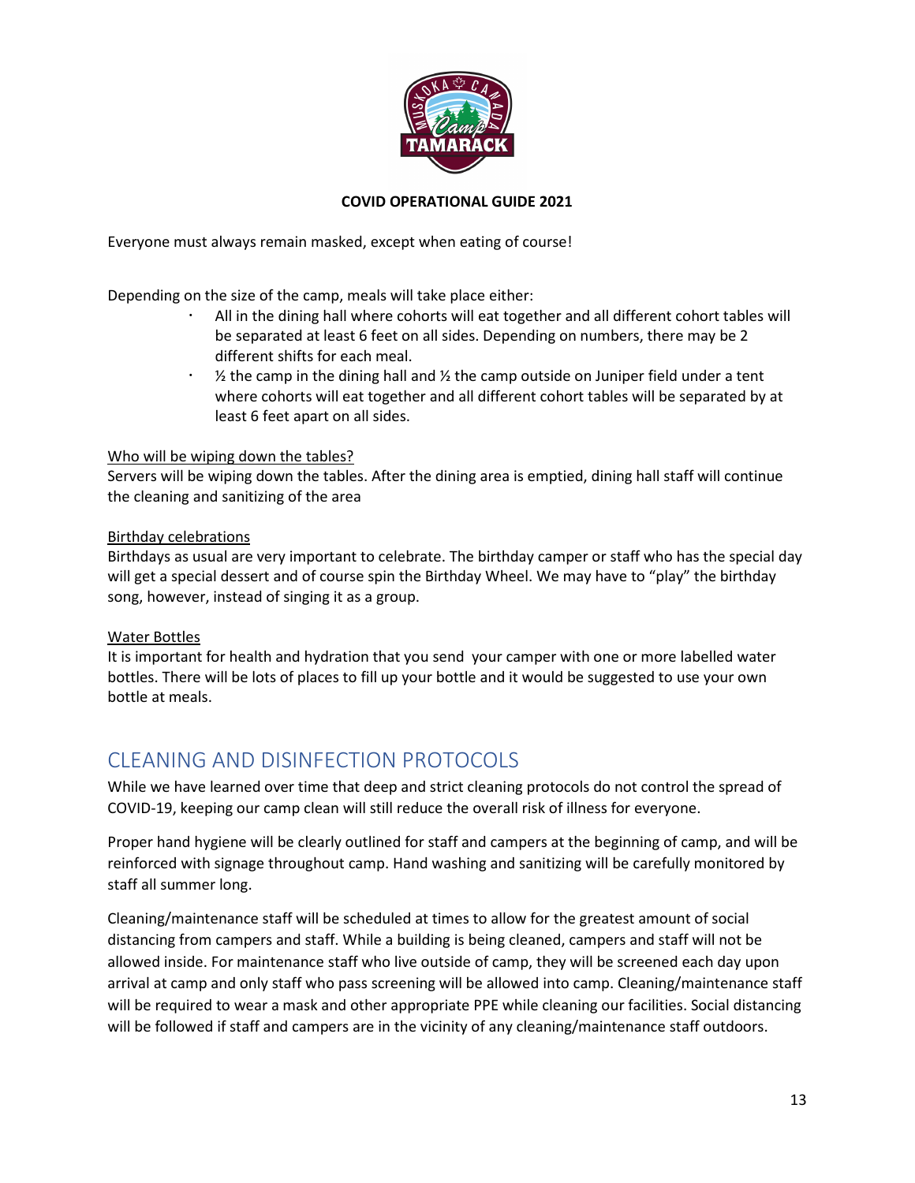

Everyone must always remain masked, except when eating of course!

Depending on the size of the camp, meals will take place either:

- All in the dining hall where cohorts will eat together and all different cohort tables will be separated at least 6 feet on all sides. Depending on numbers, there may be 2 different shifts for each meal.
- $\frac{1}{2}$  the camp in the dining hall and  $\frac{1}{2}$  the camp outside on Juniper field under a tent where cohorts will eat together and all different cohort tables will be separated by at least 6 feet apart on all sides.

### Who will be wiping down the tables?

Servers will be wiping down the tables. After the dining area is emptied, dining hall staff will continue the cleaning and sanitizing of the area

#### Birthday celebrations

Birthdays as usual are very important to celebrate. The birthday camper or staff who has the special day will get a special dessert and of course spin the Birthday Wheel. We may have to "play" the birthday song, however, instead of singing it as a group.

#### Water Bottles

It is important for health and hydration that you send your camper with one or more labelled water bottles. There will be lots of places to fill up your bottle and it would be suggested to use your own bottle at meals.

# CLEANING AND DISINFECTION PROTOCOLS

While we have learned over time that deep and strict cleaning protocols do not control the spread of COVID-19, keeping our camp clean will still reduce the overall risk of illness for everyone.

Proper hand hygiene will be clearly outlined for staff and campers at the beginning of camp, and will be reinforced with signage throughout camp. Hand washing and sanitizing will be carefully monitored by staff all summer long.

Cleaning/maintenance staff will be scheduled at times to allow for the greatest amount of social distancing from campers and staff. While a building is being cleaned, campers and staff will not be allowed inside. For maintenance staff who live outside of camp, they will be screened each day upon arrival at camp and only staff who pass screening will be allowed into camp. Cleaning/maintenance staff will be required to wear a mask and other appropriate PPE while cleaning our facilities. Social distancing will be followed if staff and campers are in the vicinity of any cleaning/maintenance staff outdoors.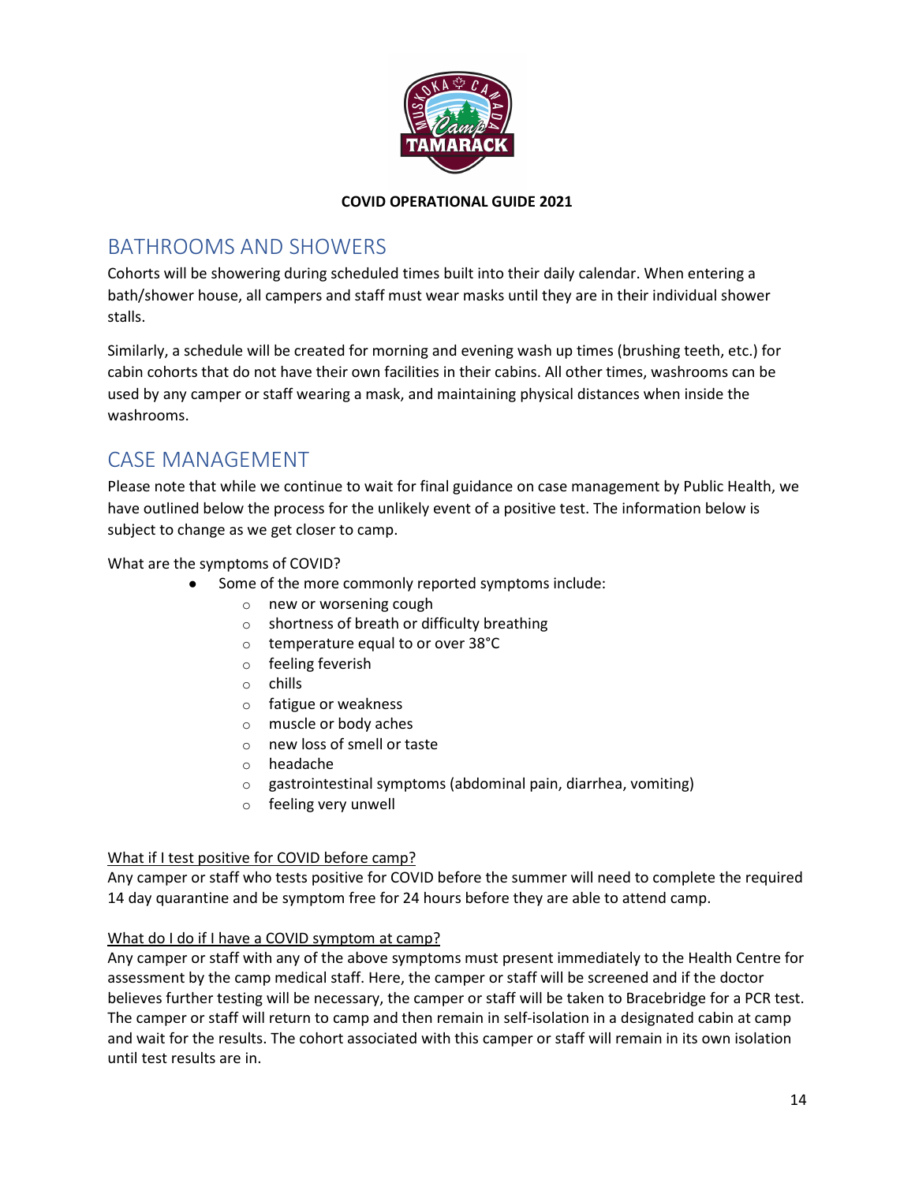

# BATHROOMS AND SHOWERS

Cohorts will be showering during scheduled times built into their daily calendar. When entering a bath/shower house, all campers and staff must wear masks until they are in their individual shower stalls.

Similarly, a schedule will be created for morning and evening wash up times (brushing teeth, etc.) for cabin cohorts that do not have their own facilities in their cabins. All other times, washrooms can be used by any camper or staff wearing a mask, and maintaining physical distances when inside the washrooms.

# CASE MANAGEMENT

Please note that while we continue to wait for final guidance on case management by Public Health, we have outlined below the process for the unlikely event of a positive test. The information below is subject to change as we get closer to camp.

# What are the symptoms of COVID?

- Some of the more commonly reported symptoms include:
	- o new or worsening cough
	- o shortness of breath or difficulty breathing
	- o temperature equal to or over 38°C
	- o feeling feverish
	- o chills
	- o fatigue or weakness
	- o muscle or body aches
	- o new loss of smell or taste
	- o headache
	- o gastrointestinal symptoms (abdominal pain, diarrhea, vomiting)
	- o feeling very unwell

#### What if I test positive for COVID before camp?

Any camper or staff who tests positive for COVID before the summer will need to complete the required 14 day quarantine and be symptom free for 24 hours before they are able to attend camp.

# What do I do if I have a COVID symptom at camp?

Any camper or staff with any of the above symptoms must present immediately to the Health Centre for assessment by the camp medical staff. Here, the camper or staff will be screened and if the doctor believes further testing will be necessary, the camper or staff will be taken to Bracebridge for a PCR test. The camper or staff will return to camp and then remain in self-isolation in a designated cabin at camp and wait for the results. The cohort associated with this camper or staff will remain in its own isolation until test results are in.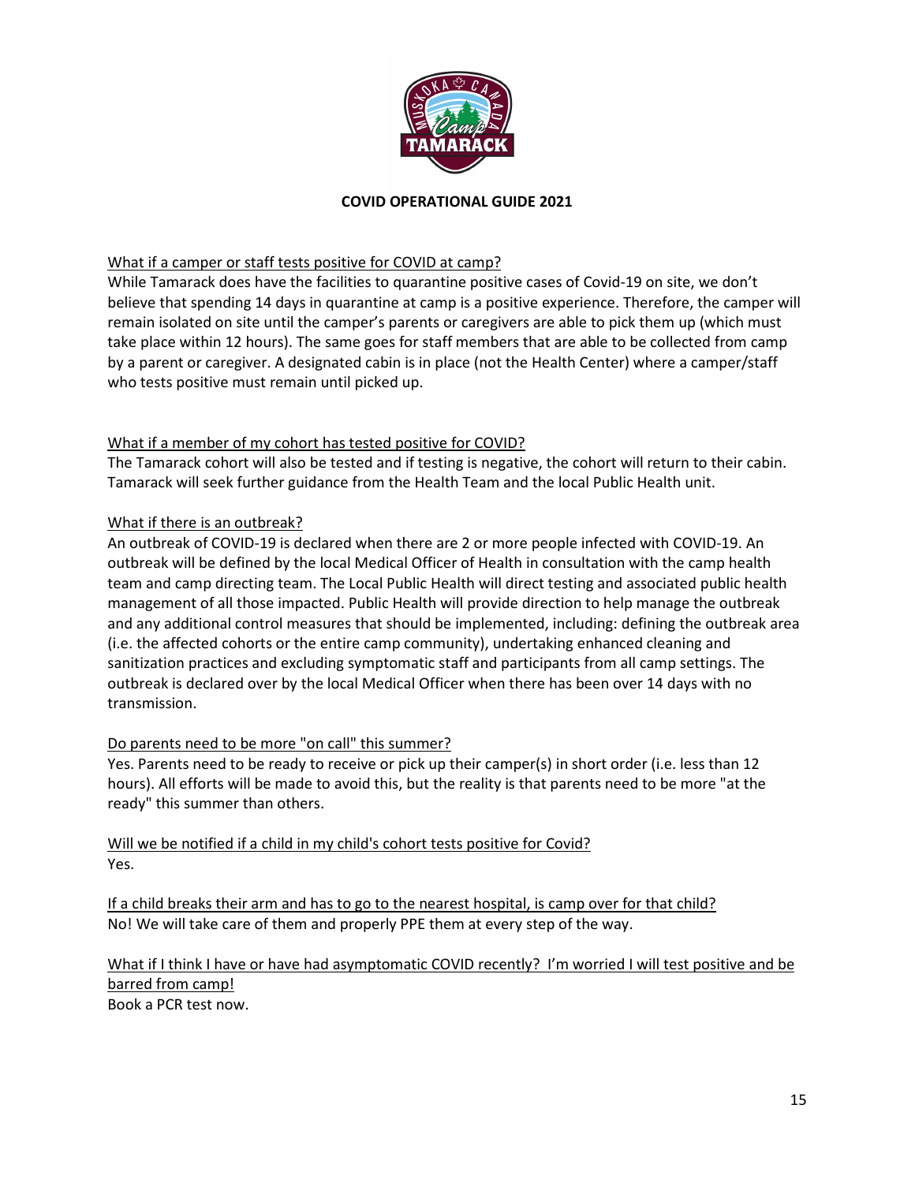

## What if a camper or staff tests positive for COVID at camp?

While Tamarack does have the facilities to quarantine positive cases of Covid-19 on site, we don't believe that spending 14 days in quarantine at camp is a positive experience. Therefore, the camper will remain isolated on site until the camper's parents or caregivers are able to pick them up (which must take place within 12 hours). The same goes for staff members that are able to be collected from camp by a parent or caregiver. A designated cabin is in place (not the Health Center) where a camper/staff who tests positive must remain until picked up.

### What if a member of my cohort has tested positive for COVID?

The Tamarack cohort will also be tested and if testing is negative, the cohort will return to their cabin. Tamarack will seek further guidance from the Health Team and the local Public Health unit.

#### What if there is an outbreak?

An outbreak of COVID-19 is declared when there are 2 or more people infected with COVID-19. An outbreak will be defined by the local Medical Officer of Health in consultation with the camp health team and camp directing team. The Local Public Health will direct testing and associated public health management of all those impacted. Public Health will provide direction to help manage the outbreak and any additional control measures that should be implemented, including: defining the outbreak area (i.e. the affected cohorts or the entire camp community), undertaking enhanced cleaning and sanitization practices and excluding symptomatic staff and participants from all camp settings. The outbreak is declared over by the local Medical Officer when there has been over 14 days with no transmission.

# Do parents need to be more "on call" this summer?

Yes. Parents need to be ready to receive or pick up their camper(s) in short order (i.e. less than 12 hours). All efforts will be made to avoid this, but the reality is that parents need to be more "at the ready" this summer than others.

Will we be notified if a child in my child's cohort tests positive for Covid? Yes.

If a child breaks their arm and has to go to the nearest hospital, is camp over for that child? No! We will take care of them and properly PPE them at every step of the way.

What if I think I have or have had asymptomatic COVID recently? I'm worried I will test positive and be barred from camp! Book a PCR test now.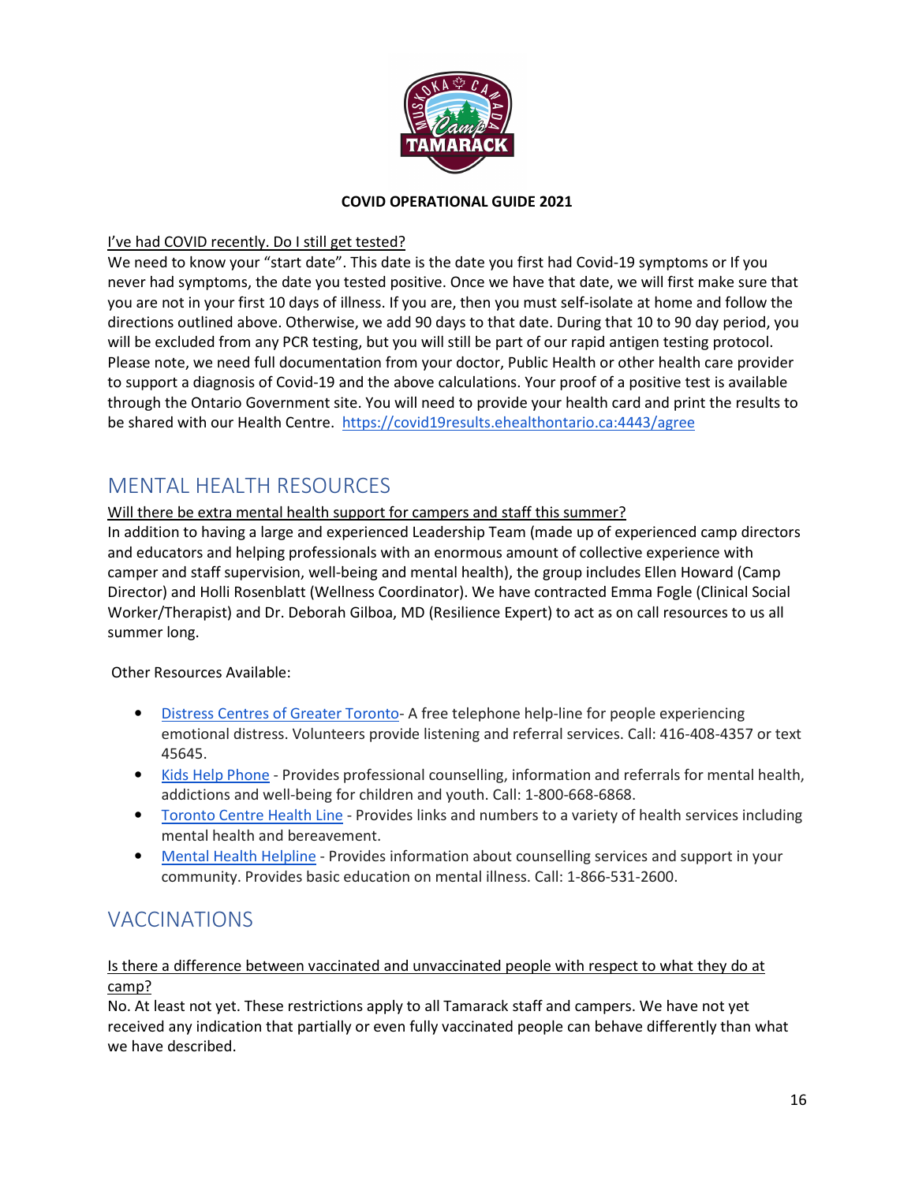

## I've had COVID recently. Do I still get tested?

We need to know your "start date". This date is the date you first had Covid-19 symptoms or If you never had symptoms, the date you tested positive. Once we have that date, we will first make sure that you are not in your first 10 days of illness. If you are, then you must self-isolate at home and follow the directions outlined above. Otherwise, we add 90 days to that date. During that 10 to 90 day period, you will be excluded from any PCR testing, but you will still be part of our rapid antigen testing protocol. Please note, we need full documentation from your doctor, Public Health or other health care provider to support a diagnosis of Covid-19 and the above calculations. Your proof of a positive test is available through the Ontario Government site. You will need to provide your health card and print the results to be shared with our Health Centre. https://covid19results.ehealthontario.ca:4443/agree

# MENTAL HEALTH RESOURCES

### Will there be extra mental health support for campers and staff this summer?

In addition to having a large and experienced Leadership Team (made up of experienced camp directors and educators and helping professionals with an enormous amount of collective experience with camper and staff supervision, well-being and mental health), the group includes Ellen Howard (Camp Director) and Holli Rosenblatt (Wellness Coordinator). We have contracted Emma Fogle (Clinical Social Worker/Therapist) and Dr. Deborah Gilboa, MD (Resilience Expert) to act as on call resources to us all summer long.

Other Resources Available:

- Distress Centres of Greater Toronto- A free telephone help-line for people experiencing emotional distress. Volunteers provide listening and referral services. Call: 416-408-4357 or text 45645.
- Kids Help Phone Provides professional counselling, information and referrals for mental health, addictions and well-being for children and youth. Call: 1-800-668-6868.
- Toronto Centre Health Line Provides links and numbers to a variety of health services including mental health and bereavement.
- Mental Health Helpline Provides information about counselling services and support in your community. Provides basic education on mental illness. Call: 1-866-531-2600.

# VACCINATIONS

# Is there a difference between vaccinated and unvaccinated people with respect to what they do at camp?

No. At least not yet. These restrictions apply to all Tamarack staff and campers. We have not yet received any indication that partially or even fully vaccinated people can behave differently than what we have described.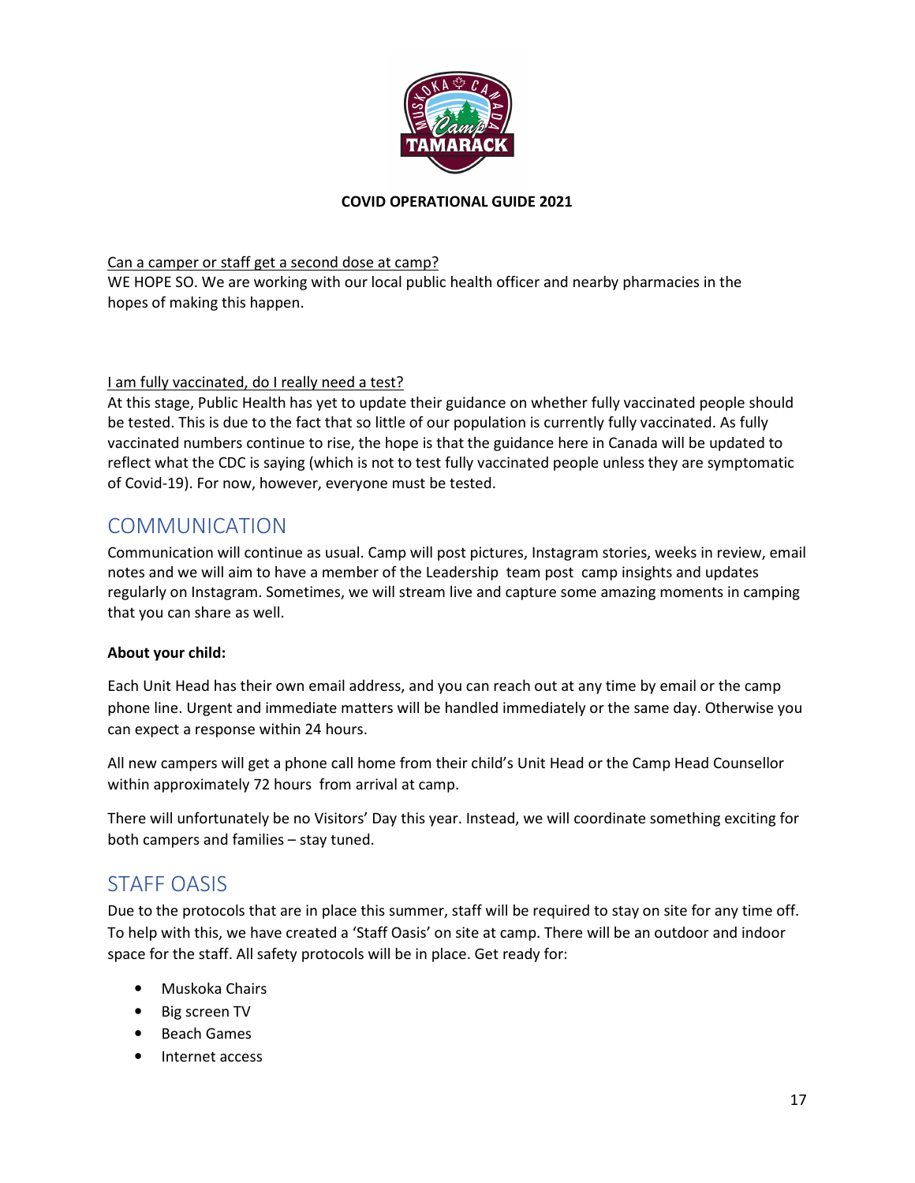

Can a camper or staff get a second dose at camp? WE HOPE SO. We are working with our local public health officer and nearby pharmacies in the hopes of making this happen.

#### I am fully vaccinated, do I really need a test?

At this stage, Public Health has yet to update their guidance on whether fully vaccinated people should be tested. This is due to the fact that so little of our population is currently fully vaccinated. As fully vaccinated numbers continue to rise, the hope is that the guidance here in Canada will be updated to reflect what the CDC is saying (which is not to test fully vaccinated people unless they are symptomatic of Covid-19). For now, however, everyone must be tested.

# COMMUNICATION

Communication will continue as usual. Camp will post pictures, Instagram stories, weeks in review, email notes and we will aim to have a member of the Leadership team post camp insights and updates regularly on Instagram. Sometimes, we will stream live and capture some amazing moments in camping that you can share as well.

#### About your child:

Each Unit Head has their own email address, and you can reach out at any time by email or the camp phone line. Urgent and immediate matters will be handled immediately or the same day. Otherwise you can expect a response within 24 hours.

All new campers will get a phone call home from their child's Unit Head or the Camp Head Counsellor within approximately 72 hours from arrival at camp.

There will unfortunately be no Visitors' Day this year. Instead, we will coordinate something exciting for both campers and families – stay tuned.

# STAFF OASIS

Due to the protocols that are in place this summer, staff will be required to stay on site for any time off. To help with this, we have created a 'Staff Oasis' on site at camp. There will be an outdoor and indoor space for the staff. All safety protocols will be in place. Get ready for:

- Muskoka Chairs
- Big screen TV
- Beach Games
- Internet access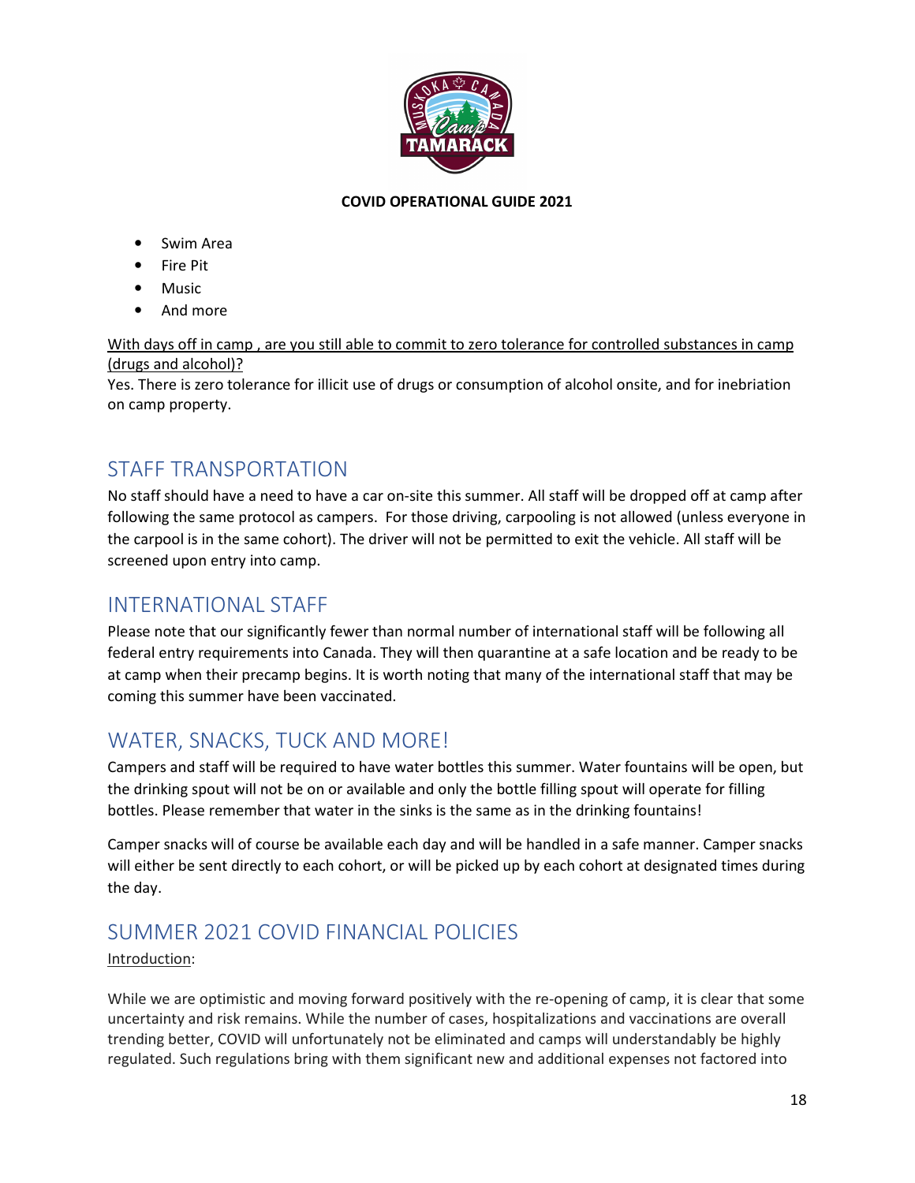

- Swim Area
- Fire Pit
- **Music**
- And more

With days off in camp, are you still able to commit to zero tolerance for controlled substances in camp (drugs and alcohol)?

Yes. There is zero tolerance for illicit use of drugs or consumption of alcohol onsite, and for inebriation on camp property.

# STAFF TRANSPORTATION

No staff should have a need to have a car on-site this summer. All staff will be dropped off at camp after following the same protocol as campers. For those driving, carpooling is not allowed (unless everyone in the carpool is in the same cohort). The driver will not be permitted to exit the vehicle. All staff will be screened upon entry into camp.

# INTERNATIONAL STAFF

Please note that our significantly fewer than normal number of international staff will be following all federal entry requirements into Canada. They will then quarantine at a safe location and be ready to be at camp when their precamp begins. It is worth noting that many of the international staff that may be coming this summer have been vaccinated.

# WATER, SNACKS, TUCK AND MORE!

Campers and staff will be required to have water bottles this summer. Water fountains will be open, but the drinking spout will not be on or available and only the bottle filling spout will operate for filling bottles. Please remember that water in the sinks is the same as in the drinking fountains!

Camper snacks will of course be available each day and will be handled in a safe manner. Camper snacks will either be sent directly to each cohort, or will be picked up by each cohort at designated times during the day.

# SUMMER 2021 COVID FINANCIAL POLICIES

# Introduction:

While we are optimistic and moving forward positively with the re-opening of camp, it is clear that some uncertainty and risk remains. While the number of cases, hospitalizations and vaccinations are overall trending better, COVID will unfortunately not be eliminated and camps will understandably be highly regulated. Such regulations bring with them significant new and additional expenses not factored into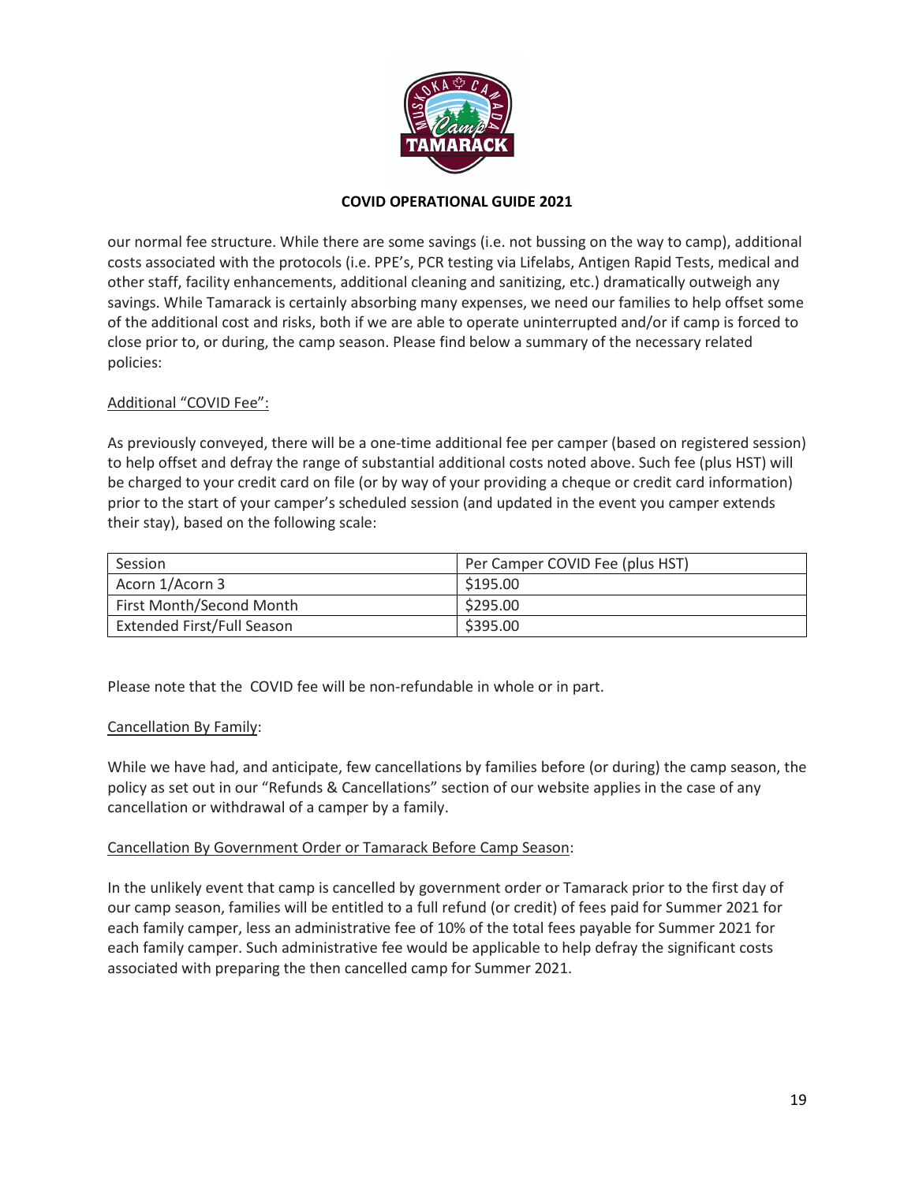

our normal fee structure. While there are some savings (i.e. not bussing on the way to camp), additional costs associated with the protocols (i.e. PPE's, PCR testing via Lifelabs, Antigen Rapid Tests, medical and other staff, facility enhancements, additional cleaning and sanitizing, etc.) dramatically outweigh any savings. While Tamarack is certainly absorbing many expenses, we need our families to help offset some of the additional cost and risks, both if we are able to operate uninterrupted and/or if camp is forced to close prior to, or during, the camp season. Please find below a summary of the necessary related policies:

### Additional "COVID Fee":

As previously conveyed, there will be a one-time additional fee per camper (based on registered session) to help offset and defray the range of substantial additional costs noted above. Such fee (plus HST) will be charged to your credit card on file (or by way of your providing a cheque or credit card information) prior to the start of your camper's scheduled session (and updated in the event you camper extends their stay), based on the following scale:

| Session                           | Per Camper COVID Fee (plus HST) |
|-----------------------------------|---------------------------------|
| Acorn 1/Acorn 3                   | \$195.00                        |
| First Month/Second Month          | \$295.00                        |
| <b>Extended First/Full Season</b> | \$395.00                        |

Please note that the COVID fee will be non-refundable in whole or in part.

#### Cancellation By Family:

While we have had, and anticipate, few cancellations by families before (or during) the camp season, the policy as set out in our "Refunds & Cancellations" section of our website applies in the case of any cancellation or withdrawal of a camper by a family.

#### Cancellation By Government Order or Tamarack Before Camp Season:

In the unlikely event that camp is cancelled by government order or Tamarack prior to the first day of our camp season, families will be entitled to a full refund (or credit) of fees paid for Summer 2021 for each family camper, less an administrative fee of 10% of the total fees payable for Summer 2021 for each family camper. Such administrative fee would be applicable to help defray the significant costs associated with preparing the then cancelled camp for Summer 2021.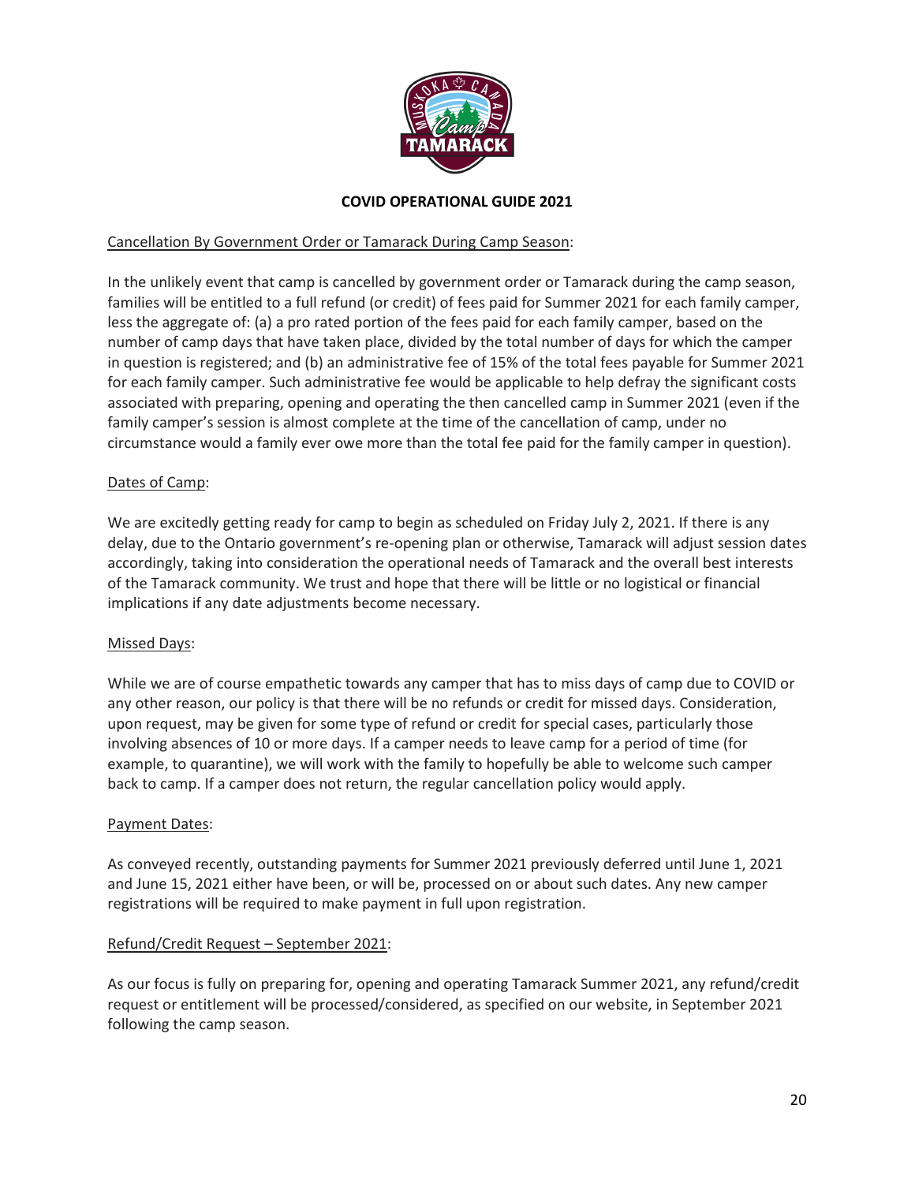

#### Cancellation By Government Order or Tamarack During Camp Season:

In the unlikely event that camp is cancelled by government order or Tamarack during the camp season, families will be entitled to a full refund (or credit) of fees paid for Summer 2021 for each family camper, less the aggregate of: (a) a pro rated portion of the fees paid for each family camper, based on the number of camp days that have taken place, divided by the total number of days for which the camper in question is registered; and (b) an administrative fee of 15% of the total fees payable for Summer 2021 for each family camper. Such administrative fee would be applicable to help defray the significant costs associated with preparing, opening and operating the then cancelled camp in Summer 2021 (even if the family camper's session is almost complete at the time of the cancellation of camp, under no circumstance would a family ever owe more than the total fee paid for the family camper in question).

#### Dates of Camp:

We are excitedly getting ready for camp to begin as scheduled on Friday July 2, 2021. If there is any delay, due to the Ontario government's re-opening plan or otherwise, Tamarack will adjust session dates accordingly, taking into consideration the operational needs of Tamarack and the overall best interests of the Tamarack community. We trust and hope that there will be little or no logistical or financial implications if any date adjustments become necessary.

#### Missed Days:

While we are of course empathetic towards any camper that has to miss days of camp due to COVID or any other reason, our policy is that there will be no refunds or credit for missed days. Consideration, upon request, may be given for some type of refund or credit for special cases, particularly those involving absences of 10 or more days. If a camper needs to leave camp for a period of time (for example, to quarantine), we will work with the family to hopefully be able to welcome such camper back to camp. If a camper does not return, the regular cancellation policy would apply.

#### Payment Dates:

As conveyed recently, outstanding payments for Summer 2021 previously deferred until June 1, 2021 and June 15, 2021 either have been, or will be, processed on or about such dates. Any new camper registrations will be required to make payment in full upon registration.

#### Refund/Credit Request – September 2021:

As our focus is fully on preparing for, opening and operating Tamarack Summer 2021, any refund/credit request or entitlement will be processed/considered, as specified on our website, in September 2021 following the camp season.